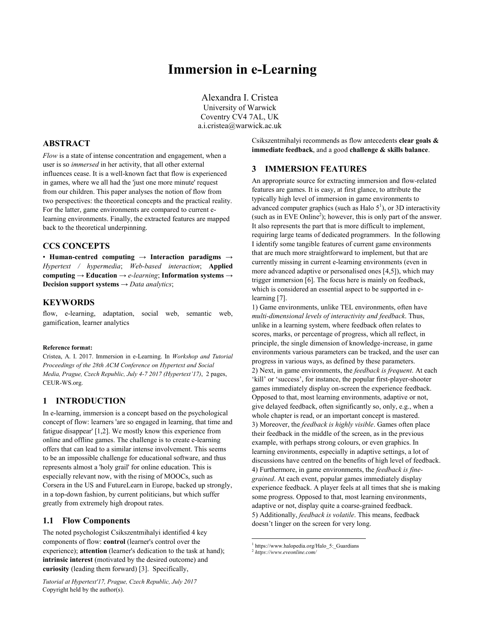# **Immersion in e-Learning**

Alexandra I. Cristea University of Warwick Coventry CV4 7AL, UK a.i.cristea@warwick.ac.uk

# **ABSTRACT**

*Flow* is a state of intense concentration and engagement, when a user is so *immersed* in her activity, that all other external influences cease. It is a well-known fact that flow is experienced in games, where we all had the 'just one more minute' request from our children. This paper analyses the notion of flow from two perspectives: the theoretical concepts and the practical reality. For the latter, game environments are compared to current elearning environments. Finally, the extracted features are mapped back to the theoretical underpinning.

### **CCS CONCEPTS**

• **Human-centred computing** → **Interaction paradigms** → *Hypertext / hypermedia*; *Web-based interaction*; **Applied computing** → **Education** → *e-learning*; **Information systems** → **Decision support systems** → *Data analytics*;

### **KEYWORDS**

flow, e-learning, adaptation, social web, semantic web, gamification, learner analytics

#### **Reference format:**

Cristea, A. I. 2017. Immersion in e-Learning. In *Workshop and Tutorial Proceedings of the 28th ACM Conference on Hypertext and Social Media, Prague, Czech Republic, July 4-7 2017 (Hypertext'17)*, 2 pages, CEUR-WS.org.

# **1 INTRODUCTION**

In e-learning, immersion is a concept based on the psychological concept of flow: learners 'are so engaged in learning, that time and fatigue disappear' [1,2]. We mostly know this experience from online and offline games. The challenge is to create e-learning offers that can lead to a similar intense involvement. This seems to be an impossible challenge for educational software, and thus represents almost a 'holy grail' for online education. This is especially relevant now, with the rising of MOOCs, such as Corsera in the US and FutureLearn in Europe, backed up strongly, in a top-down fashion, by current politicians, but which suffer greatly from extremely high dropout rates.

#### **1.1 Flow Components**

The noted psychologist Csikszentmihalyi identified 4 key components of flow: **control** (learner's control over the experience); **attention** (learner's dedication to the task at hand); **intrinsic interest** (motivated by the desired outcome) and **curiosity** (leading them forward) [3]. Specifically,

Csikszentmihalyi recommends as flow antecedents **clear goals & immediate feedback**, and a good **challenge & skills balance**.

#### **3 IMMERSION FEATURES**

An appropriate source for extracting immersion and flow-related features are games. It is easy, at first glance, to attribute the typically high level of immersion in game environments to advanced computer graphics (such as Halo  $5<sup>1</sup>$ ), or 3D interactivity (such as in EVE Online<sup>2</sup>); however, this is only part of the answer. It also represents the part that is more difficult to implement, requiring large teams of dedicated programmers. In the following I identify some tangible features of current game environments that are much more straightforward to implement, but that are currently missing in current e-learning environments (even in more advanced adaptive or personalised ones [4,5]), which may trigger immersion [6]. The focus here is mainly on feedback, which is considered an essential aspect to be supported in elearning [7].

1) Game environments, unlike TEL environments, often have *multi-dimensional levels of interactivity and feedback*. Thus, unlike in a learning system, where feedback often relates to scores, marks, or percentage of progress, which all reflect, in principle, the single dimension of knowledge-increase, in game environments various parameters can be tracked, and the user can progress in various ways, as defined by these parameters. 2) Next, in game environments, the *feedback is frequent*. At each 'kill' or 'success', for instance, the popular first-player-shooter games immediately display on-screen the experience feedback. Opposed to that, most learning environments, adaptive or not, give delayed feedback, often significantly so, only, e.g., when a whole chapter is read, or an important concept is mastered. 3) Moreover, the *feedback is highly visible*. Games often place their feedback in the middle of the screen, as in the previous example, with perhaps strong colours, or even graphics. In learning environments, especially in adaptive settings, a lot of discussions have centred on the benefits of high level of feedback. 4) Furthermore, in game environments, the *feedback is finegrained*. At each event, popular games immediately display experience feedback. A player feels at all times that she is making some progress. Opposed to that, most learning environments, adaptive or not, display quite a coarse-grained feedback. 5) Additionally, *feedback is volatile*. This means, feedback doesn't linger on the screen for very long.

<sup>&</sup>lt;sup>1</sup> https://www.halopedia.org/Halo 5: Guardians

<sup>2</sup> *https://www.eveonline.com/*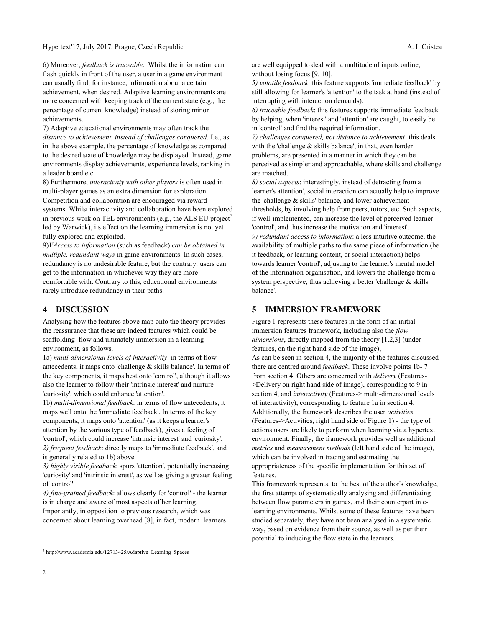6) Moreover, *feedback is traceable*. Whilst the information can flash quickly in front of the user, a user in a game environment can usually find, for instance, information about a certain achievement, when desired. Adaptive learning environments are more concerned with keeping track of the current state (e.g., the percentage of current knowledge) instead of storing minor achievements.

7) Adaptive educational environments may often track the *distance to achievement, instead of challenges conquered*. I.e., as in the above example, the percentage of knowledge as compared to the desired state of knowledge may be displayed. Instead, game environments display achievements, experience levels, ranking in a leader board etc.

8) Furthermore, *interactivity with other players* is often used in multi-player games as an extra dimension for exploration. Competition and collaboration are encouraged via reward systems. Whilst interactivity and collaboration have been explored in previous work on TEL environments (e.g., the ALS EU project $3$ led by Warwick), its effect on the learning immersion is not yet fully explored and exploited.

9)*VAccess to information* (such as feedback) *can be obtained in multiple, redundant ways* in game environments. In such cases, redundancy is no undesirable feature, but the contrary: users can get to the information in whichever way they are more comfortable with. Contrary to this, educational environments rarely introduce redundancy in their paths.

## **4 DISCUSSION**

Analysing how the features above map onto the theory provides the reassurance that these are indeed features which could be scaffolding flow and ultimately immersion in a learning environment, as follows.

1a) *multi-dimensional levels of interactivity*: in terms of flow antecedents, it maps onto 'challenge & skills balance'. In terms of the key components, it maps best onto 'control', although it allows also the learner to follow their 'intrinsic interest' and nurture 'curiosity', which could enhance 'attention'.

1b) *multi-dimensional feedback*: in terms of flow antecedents, it maps well onto the 'immediate feedback'. In terms of the key components, it maps onto 'attention' (as it keeps a learner's attention by the various type of feedback), gives a feeling of 'control', which could increase 'intrinsic interest' and 'curiosity'. *2) frequent feedback*: directly maps to 'immediate feedback', and is generally related to 1b) above.

*3) highly visible feedback*: spurs 'attention', potentially increasing 'curiosity' and 'intrinsic interest', as well as giving a greater feeling of 'control'.

*4) fine-grained feedback*: allows clearly for 'control' - the learner is in charge and aware of most aspects of her learning. Importantly, in opposition to previous research, which was concerned about learning overhead [8], in fact, modern learners

are well equipped to deal with a multitude of inputs online, without losing focus [9, 10].

*5) volatile feedback*: this feature supports 'immediate feedback' by still allowing for learner's 'attention' to the task at hand (instead of interrupting with interaction demands).

*6) traceable feedback*: this features supports 'immediate feedback' by helping, when 'interest' and 'attention' are caught, to easily be in 'control' and find the required information.

*7) challenges conquered, not distance to achievement*: this deals with the 'challenge & skills balance', in that, even harder problems, are presented in a manner in which they can be perceived as simpler and approachable, where skills and challenge are matched.

*8) social aspects*: interestingly, instead of detracting from a learner's attention', social interaction can actually help to improve the 'challenge & skills' balance, and lower achievement thresholds, by involving help from peers, tutors, etc. Such aspects, if well-implemented, can increase the level of perceived learner 'control', and thus increase the motivation and 'interest'. *9) redundant access to information*: a less intuitive outcome, the availability of multiple paths to the same piece of information (be it feedback, or learning content, or social interaction) helps towards learner 'control', adjusting to the learner's mental model of the information organisation, and lowers the challenge from a system perspective, thus achieving a better 'challenge & skills balance'.

## **5 IMMERSION FRAMEWORK**

Figure 1 represents these features in the form of an initial immersion features framework, including also the *flow dimensions*, directly mapped from the theory [1,2,3] (under features, on the right hand side of the image), As can be seen in section 4, the majority of the features discussed there are centred around *feedback*. These involve points 1b- 7 from section 4. Others are concerned with *delivery* (Features- >Delivery on right hand side of image), corresponding to 9 in section 4, and *interactivity* (Features-> multi-dimensional levels of interactivity), corresponding to feature 1a in section 4. Additionally, the framework describes the user *activities* (Features->Activities, right hand side of Figure 1) - the type of actions users are likely to perform when learning via a hypertext environment. Finally, the framework provides well as additional *metrics* and *measurement methods* (left hand side of the image), which can be involved in tracing and estimating the appropriateness of the specific implementation for this set of features.

This framework represents, to the best of the author's knowledge, the first attempt of systematically analysing and differentiating between flow parameters in games, and their counterpart in elearning environments. Whilst some of these features have been studied separately, they have not been analysed in a systematic way, based on evidence from their source, as well as per their potential to inducing the flow state in the learners.

 $\overline{a}$ 

<sup>3</sup> http://www.academia.edu/12713425/Adaptive\_Learning\_Spaces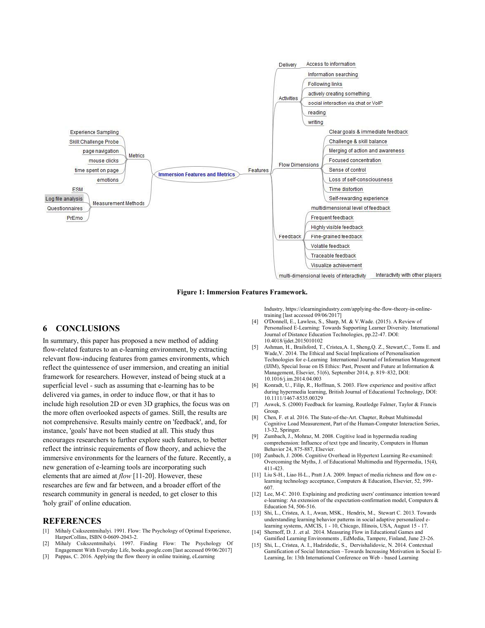

**Figure 1: Immersion Features Framework.**

## **6 CONCLUSIONS**

In summary, this paper has proposed a new method of adding flow-related features to an e-learning environment, by extracting relevant flow-inducing features from games environments, which reflect the quintessence of user immersion, and creating an initial framework for researchers. However, instead of being stuck at a superficial level - such as assuming that e-learning has to be delivered via games, in order to induce flow, or that it has to include high resolution 2D or even 3D graphics, the focus was on the more often overlooked aspects of games. Still, the results are not comprehensive. Results mainly centre on 'feedback', and, for instance, 'goals' have not been studied at all. This study thus encourages researchers to further explore such features, to better reflect the intrinsic requirements of flow theory, and achieve the immersive environments for the learners of the future. Recently, a new generation of e-learning tools are incorporating such elements that are aimed at *flow* [11-20]. However, these researches are few and far between, and a broader effort of the research community in general is needed, to get closer to this 'holy grail' of online education.

#### **REFERENCES**

- [1] Mihaly Csikszentmihalyi. 1991. Flow: The Psychology of Optimal Experience, HarperCollins, ISBN 0-0609-2043-2.
- [2] Mihaly Csikszentmihalyi. 1997. Finding Flow: The Psychology Of Engagement With Everyday Life, books.google.com [last accessed 09/06/2017]
- Pappas, C. 2016. Applying the flow theory in online training, eLearning

Industry, https://elearningindustry.com/applying-the-flow-theory-in-onlinetraining [last accessed 09/06/2017]

- [4] O'Donnell, E., Lawless, S., Sharp, M. & V.Wade. (2015). A Review of Personalised E-Learning: Towards Supporting Learner Diversity. International Journal of Distance Education Technologies, pp.22-47. DOI: 10.4018/ijdet.2015010102
- Ashman, H., Brailsford, T., Cristea, A. I., Sheng, Q. Z., Stewart, C., Toms E. and Wade,V. 2014. The Ethical and Social Implications of Personalisation Technologies for e-Learning International Journal of Information Management (IJIM), Special Issue on IS Ethics: Past, Present and Future at Information & Management, Elsevier, 51(6), September 2014, p. 819–832, DOI: 10.1016/j.im.2014.04.003
- [6] Konradt, U., Filip, R., Hoffman, S. 2003. Flow experience and positive affect during hypermedia learning, British Journal of Educational Technology, DOI: 10.1111/1467-8535.00329
- [7] Aswek, S. (2000) Feedback for learning, Routledge Falmer, Taylor & Francis Group.
- [8] Chen, F. et al. 2016. The State-of-the-Art. Chapter, Robust Multimodal Cognitive Load Measurement, Part of the Human-Computer Interaction Series, 13-32, Springer.
- [9] Zumbach, J., Mohraz, M. 2008. Cogitive load in hypermedia reading comprehension: Influence of text type and linearity, Computers in Human Behavior 24, 875-887, Elsevier.
- [10] Zunbach, J. 2006. Cognitive Overhead in Hypertext Learning Re-examined: Overcoming the Myths, J. of Educational Multimedia and Hypermedia, 15(4), 411-423.
- [11] Liu S-H., Liao H-L., Pratt J.A. 2009. Impact of media richness and flow on elearning technology acceptance, Computers & Education, Elsevier, 52, 599- 607.
- [12] Lee, M-C. 2010. Explaining and predicting users' continuance intention toward e-learning: An extension of the expectation-confirmation model, Computers & Education 54, 506-516.
- [13] Shi, L., Cristea, A. I., Awan, MSK., Hendrix, M., Stewart C. 2013. Towards understanding learning behavior patterns in social adaptive personalized elearning systems, AMCIS, 1 - 10, Chicago, Illinois, USA, August 15 - 17.
- [14] Shernoff, D. J. .et al. 2014. Measuring Flow in Educational Games and Gamified Learning Environments , EdMedia, Tampere, Finland, June 23-26.
- [15] Shi, L., Cristea, A. I., Hadzidedic, S., Dervishalidovic, N. 2014. Contextual Gamification of Social Interaction –Towards Increasing Motivation in Social E-Learning, In: 13th International Conference on Web - based Learning